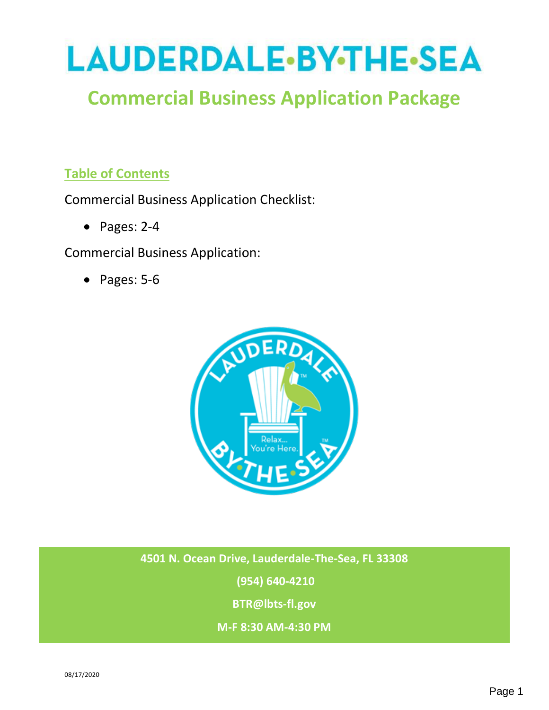

# **Commercial Business Application Package**

# **Table of Contents**

Commercial Business Application Checklist:

• Pages: 2-4

Commercial Business Application:

• Pages: 5-6



**4501 N. Ocean Drive, Lauderdale-The-Sea, FL 33308**

**(954) 640-4210**

**BTR@lbts-fl.gov**

**M-F 8:30 AM-4:30 PM**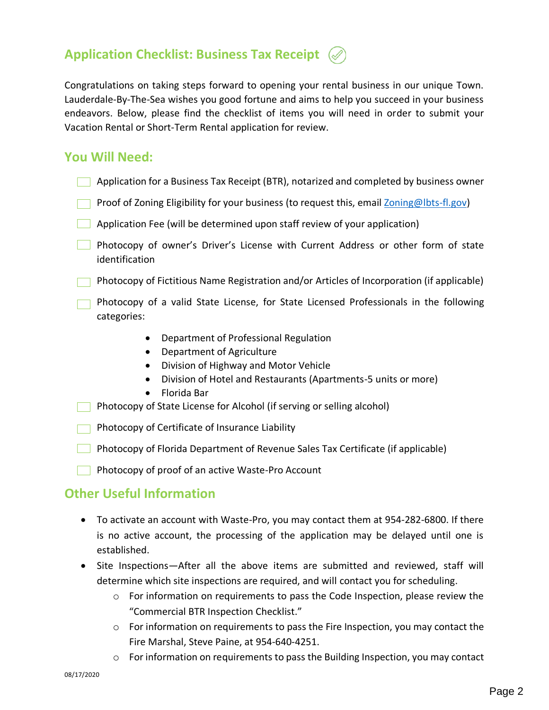

Congratulations on taking steps forward to opening your rental business in our unique Town. Lauderdale-By-The-Sea wishes you good fortune and aims to help you succeed in your business endeavors. Below, please find the checklist of items you will need in order to submit your Vacation Rental or Short-Term Rental application for review.

## **You Will Need:**

- Application for a Business Tax Receipt (BTR), notarized and completed by business owner
- Proof of Zoning Eligibility for your business (to request this, email [Zoning@lbts-fl.gov\)](mailto:Zoning@lbts-fl.gov)
- Application Fee (will be determined upon staff review of your application)
- **Photocopy of owner's Driver's License with Current Address or other form of state** identification

**Photocopy of Fictitious Name Registration and/or Articles of Incorporation (if applicable)** 

- Photocopy of a valid State License, for State Licensed Professionals in the following categories:
	- Department of Professional Regulation
	- Department of Agriculture
	- Division of Highway and Motor Vehicle
	- Division of Hotel and Restaurants (Apartments-5 units or more)
	- Florida Bar
- **Photocopy of State License for Alcohol (if serving or selling alcohol)**

 $\Box$  Photocopy of Certificate of Insurance Liability

- Photocopy of Florida Department of Revenue Sales Tax Certificate (if applicable)
- **Photocopy of proof of an active Waste-Pro Account**

## **Other Useful Information**

- To activate an account with Waste-Pro, you may contact them at 954-282-6800. If there is no active account, the processing of the application may be delayed until one is established.
- Site Inspections—After all the above items are submitted and reviewed, staff will determine which site inspections are required, and will contact you for scheduling.
	- o For information on requirements to pass the Code Inspection, please review the "Commercial BTR Inspection Checklist."
	- $\circ$  For information on requirements to pass the Fire Inspection, you may contact the Fire Marshal, Steve Paine, at 954-640-4251.
	- $\circ$  For information on requirements to pass the Building Inspection, you may contact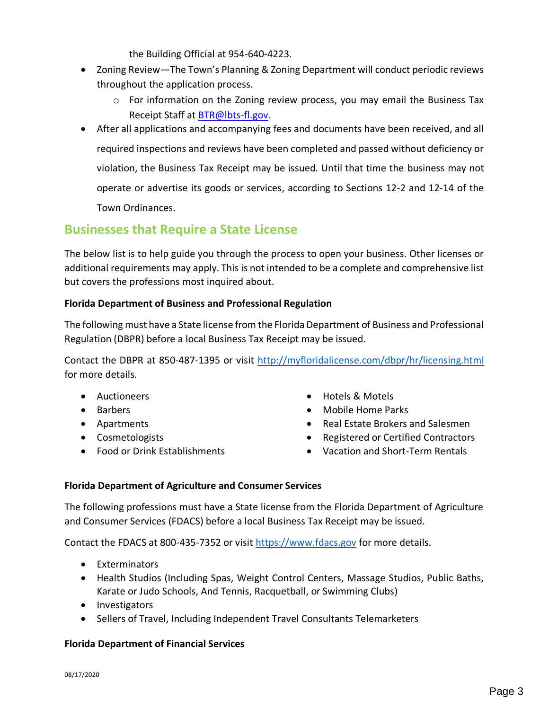the Building Official at 954-640-4223.

- Zoning Review—The Town's Planning & Zoning Department will conduct periodic reviews throughout the application process.
	- o For information on the Zoning review process, you may email the Business Tax Receipt Staff at [BTR@lbts-fl.gov.](mailto:BTR@LBTS-FL.gov)
- After all applications and accompanying fees and documents have been received, and all required inspections and reviews have been completed and passed without deficiency or violation, the Business Tax Receipt may be issued. Until that time the business may not operate or advertise its goods or services, according to Sections 12-2 and 12-14 of the Town Ordinances.

# **Businesses that Require a State License**

The below list is to help guide you through the process to open your business. Other licenses or additional requirements may apply. This is not intended to be a complete and comprehensive list but covers the professions most inquired about.

#### **Florida Department of Business and Professional Regulation**

The following must have a State license from the Florida Department of Business and Professional Regulation (DBPR) before a local Business Tax Receipt may be issued.

Contact the DBPR at 850-487-1395 or visit<http://myfloridalicense.com/dbpr/hr/licensing.html> for more details.

- Auctioneers
- Barbers
- Apartments
- Cosmetologists
- Food or Drink Establishments
- Hotels & Motels
- Mobile Home Parks
- Real Estate Brokers and Salesmen
- Registered or Certified Contractors
- Vacation and Short-Term Rentals

### **Florida Department of Agriculture and Consumer Services**

The following professions must have a State license from the Florida Department of Agriculture and Consumer Services (FDACS) before a local Business Tax Receipt may be issued.

Contact the FDACS at 800-435-7352 or visit [https://www.fdacs.gov](https://www.fdacs.gov/) for more details.

- Exterminators
- Health Studios (Including Spas, Weight Control Centers, Massage Studios, Public Baths, Karate or Judo Schools, And Tennis, Racquetball, or Swimming Clubs)
- Investigators
- Sellers of Travel, Including Independent Travel Consultants Telemarketers

#### **Florida Department of Financial Services**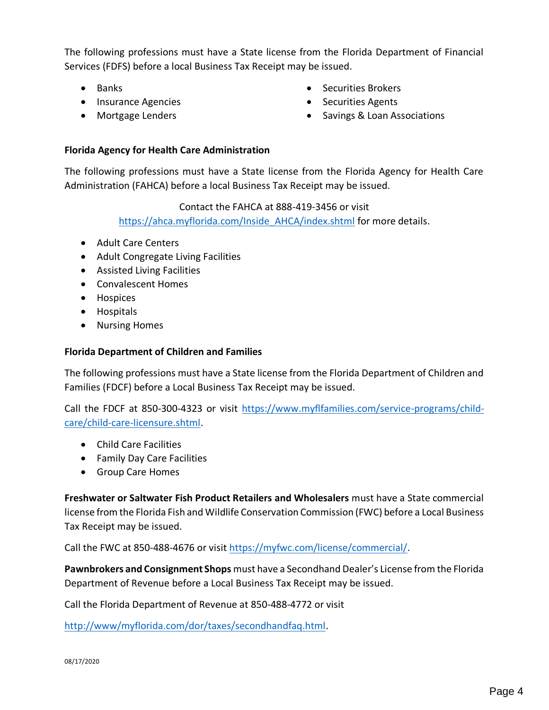The following professions must have a State license from the Florida Department of Financial Services (FDFS) before a local Business Tax Receipt may be issued.

- Banks
- Insurance Agencies
- Mortgage Lenders
- Securities Brokers
- Securities Agents
- Savings & Loan Associations

#### **Florida Agency for Health Care Administration**

The following professions must have a State license from the Florida Agency for Health Care Administration (FAHCA) before a local Business Tax Receipt may be issued.

> Contact the FAHCA at 888-419-3456 or visit [https://ahca.myflorida.com/Inside\\_AHCA/index.shtml](https://ahca.myflorida.com/Inside_AHCA/index.shtml) for more details.

- Adult Care Centers
- Adult Congregate Living Facilities
- Assisted Living Facilities
- Convalescent Homes
- Hospices
- Hospitals
- Nursing Homes

#### **Florida Department of Children and Families**

The following professions must have a State license from the Florida Department of Children and Families (FDCF) before a Local Business Tax Receipt may be issued.

Call the FDCF at 850-300-4323 or visit [https://www.myflfamilies.com/service-programs/child](https://www.myflfamilies.com/service-programs/child-care/child-care-licensure.shtml)[care/child-care-licensure.shtml.](https://www.myflfamilies.com/service-programs/child-care/child-care-licensure.shtml)

- Child Care Facilities
- Family Day Care Facilities
- Group Care Homes

**Freshwater or Saltwater Fish Product Retailers and Wholesalers** must have a State commercial license from the Florida Fish and Wildlife Conservation Commission (FWC) before a Local Business Tax Receipt may be issued.

Call the FWC at 850-488-4676 or visit [https://myfwc.com/license/commercial/.](https://myfwc.com/license/commercial/)

**Pawnbrokers and Consignment Shops** must have a Secondhand Dealer's License from the Florida Department of Revenue before a Local Business Tax Receipt may be issued.

Call the Florida Department of Revenue at 850-488-4772 or visit

[http://www/myflorida.com/dor/taxes/secondhandfaq.html.](http://www/myflorida.com/dor/taxes/secondhandfaq.html)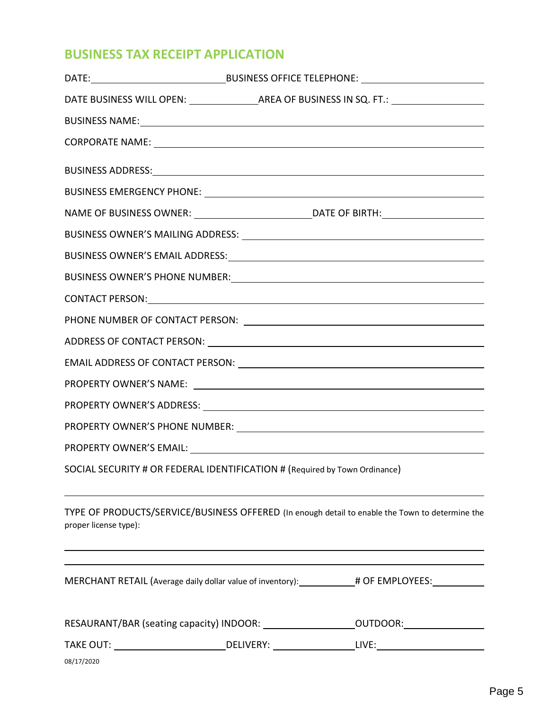# **BUSINESS TAX RECEIPT APPLICATION**

|                                                                            |  | CONTACT PERSON: <u>CONTACT PERSON</u>                                                                                                                                               |
|----------------------------------------------------------------------------|--|-------------------------------------------------------------------------------------------------------------------------------------------------------------------------------------|
|                                                                            |  |                                                                                                                                                                                     |
|                                                                            |  |                                                                                                                                                                                     |
|                                                                            |  |                                                                                                                                                                                     |
|                                                                            |  |                                                                                                                                                                                     |
|                                                                            |  |                                                                                                                                                                                     |
|                                                                            |  |                                                                                                                                                                                     |
|                                                                            |  |                                                                                                                                                                                     |
| SOCIAL SECURITY # OR FEDERAL IDENTIFICATION # (Required by Town Ordinance) |  |                                                                                                                                                                                     |
| proper license type):                                                      |  | TYPE OF PRODUCTS/SERVICE/BUSINESS OFFERED (In enough detail to enable the Town to determine the<br>,我们也不会有什么。""我们的人,我们也不会有什么?""我们的人,我们也不会有什么?""我们的人,我们也不会有什么?""我们的人,我们也不会有什么?""我们的人 |
|                                                                            |  | MERCHANT RETAIL (Average daily dollar value of inventory): ___________# OF EMPLOYEES: _____________                                                                                 |
|                                                                            |  | RESAURANT/BAR (seating capacity) INDOOR: ______________________OUTDOOR: _______________                                                                                             |
|                                                                            |  |                                                                                                                                                                                     |
| 08/17/2020                                                                 |  |                                                                                                                                                                                     |